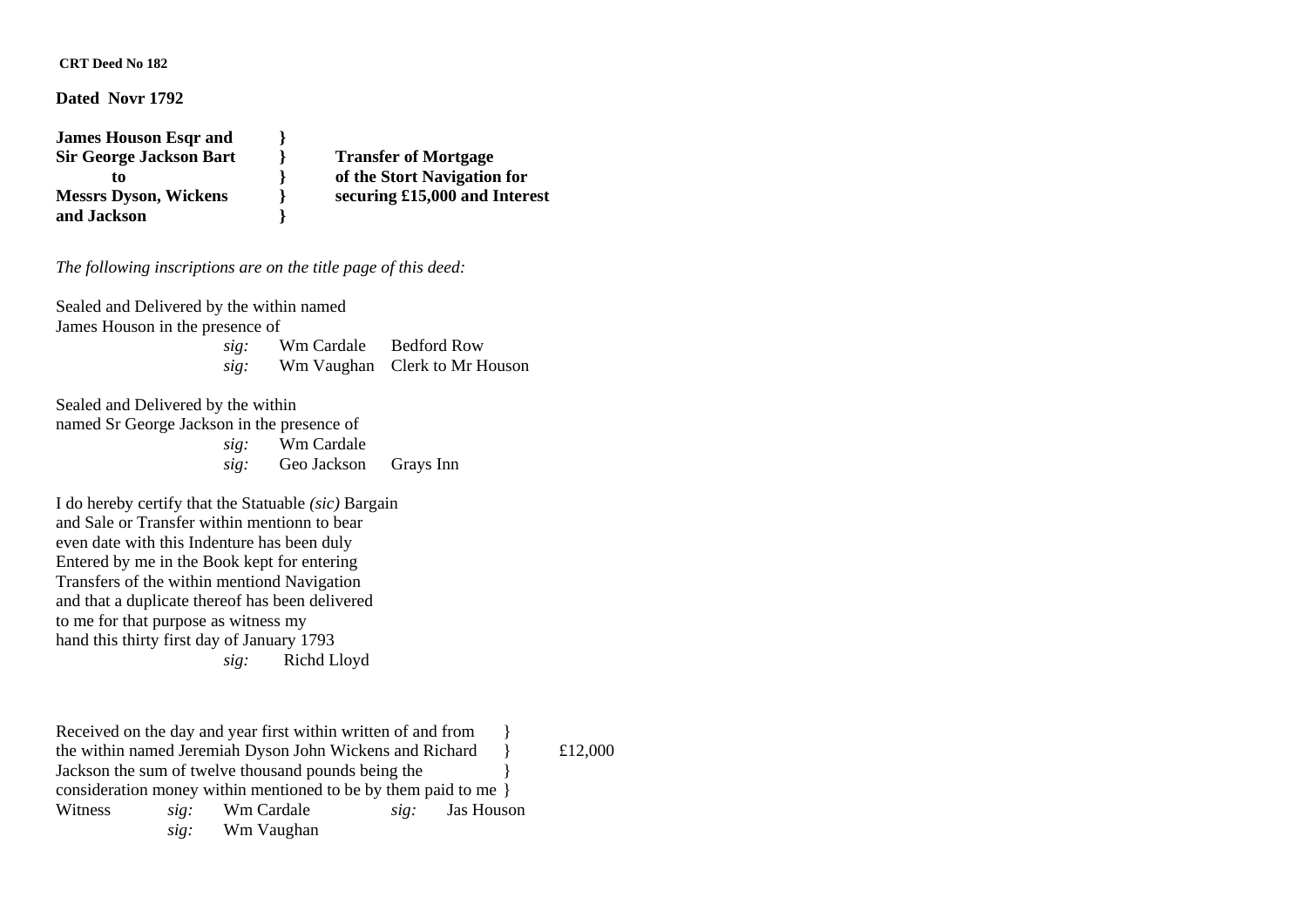### **CRT Deed No 182**

#### **Dated Novr 1792**

**James Houson Esqr and } Sir George Jackson Bart } Transfer of Mortgage and Jackson }** 

 **to } of the Stort Navigation for Messrs Dyson, Wickens } securing £15,000 and Interest** 

## *The following inscriptions are on the title page of this deed:*

Sealed and Delivered by the within named James Houson in the presence of *sig:* Wm Cardale Bedford Row  *sig:* Wm Vaughan Clerk to Mr Houson

Sealed and Delivered by the within

named Sr George Jackson in the presence of *sig:* Wm Cardale  *sig:* Geo Jackson Grays Inn

I do hereby certify that the Statuable *(sic)* Bargain and Sale or Transfer within mentionn to bear even date with this Indenture has been duly Entered by me in the Book kept for entering Transfers of the within mentiond Navigation and that a duplicate thereof has been delivered to me for that purpose as witness my hand this thirty first day of January 1793 *sig:* Richd Lloyd

Received on the day and year first within written of and from the within named Jeremiah Dyson John Wickens and Richard  $\{12,000\}$ Jackson the sum of twelve thousand pounds being the consideration money within mentioned to be by them paid to me } Witness *sig:* Wm Cardale *sig:* Jas Houson *sig:* Wm Vaughan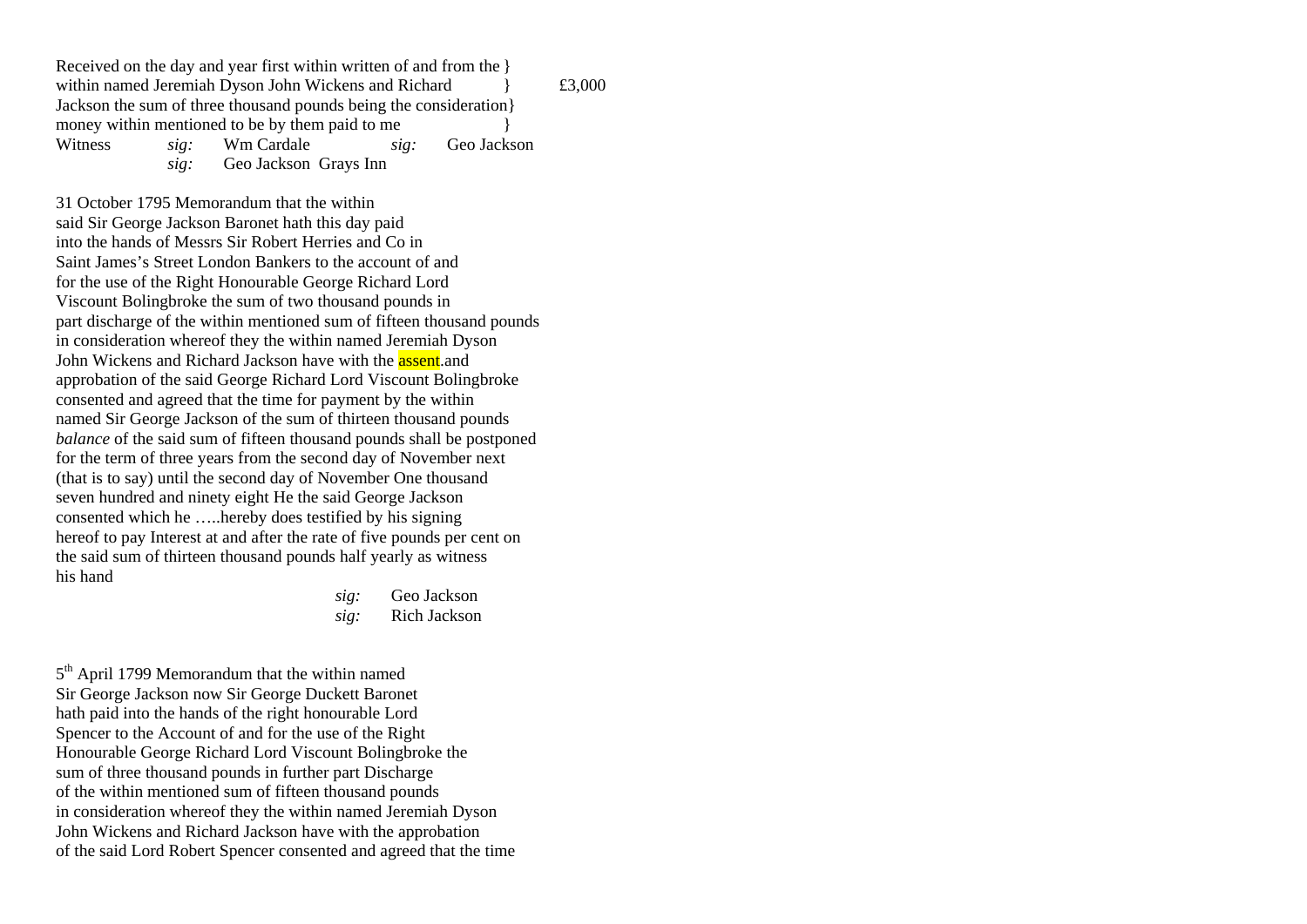Received on the day and year first within written of and from the } within named Jeremiah Dyson John Wickens and Richard  $\qquad \qquad$  £3,000 Jackson the sum of three thousand pounds being the consideration} money within mentioned to be by them paid to me Witness *sig:* Wm Cardale *sig:* Geo Jackson *sig:* Geo Jackson Grays Inn

31 October 1795 Memorandum that the within said Sir George Jackson Baronet hath this day paid into the hands of Messrs Sir Robert Herries and Co in Saint James's Street London Bankers to the account of and for the use of the Right Honourable George Richard Lord Viscount Bolingbroke the sum of two thousand pounds in part discharge of the within mentioned sum of fifteen thousand pounds in consideration whereof they the within named Jeremiah Dyson John Wickens and Richard Jackson have with the **assent** and approbation of the said George Richard Lord Viscount Bolingbroke consented and agreed that the time for payment by the within named Sir George Jackson of the sum of thirteen thousand pounds *balance* of the said sum of fifteen thousand pounds shall be postponed for the term of three years from the second day of November next (that is to say) until the second day of November One thousand seven hundred and ninety eight He the said George Jackson consented which he …..hereby does testified by his signing hereof to pay Interest at and after the rate of five pounds per cent on the said sum of thirteen thousand pounds half yearly as witness his hand

> *sig:* Geo Jackson *sig:* Rich Jackson

5<sup>th</sup> April 1799 Memorandum that the within named Sir George Jackson now Sir George Duckett Baronet hath paid into the hands of the right honourable Lord Spencer to the Account of and for the use of the Right Honourable George Richard Lord Viscount Bolingbroke the sum of three thousand pounds in further part Discharge of the within mentioned sum of fifteen thousand pounds in consideration whereof they the within named Jeremiah Dyson John Wickens and Richard Jackson have with the approbation of the said Lord Robert Spencer consented and agreed that the time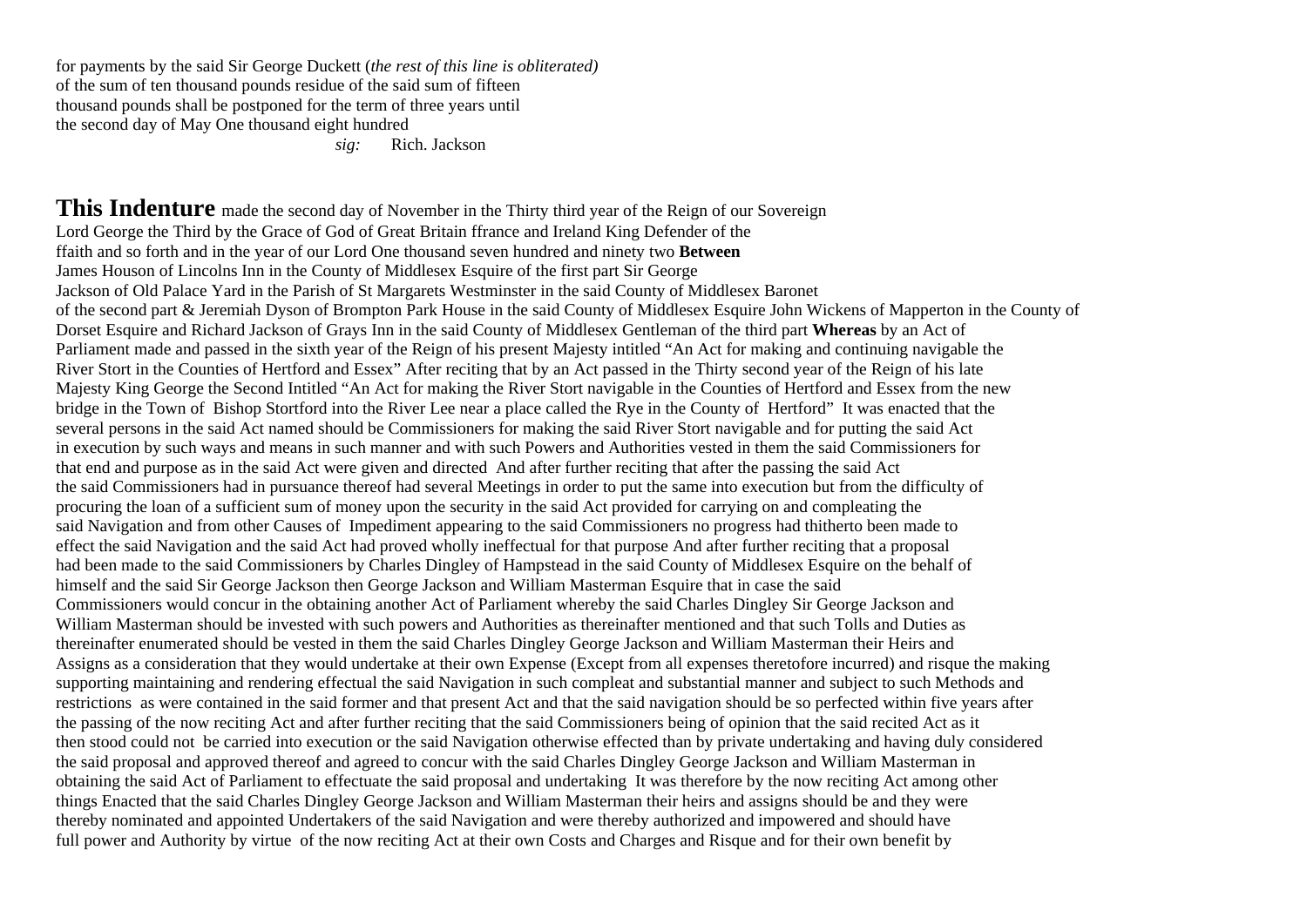for payments by the said Sir George Duckett (*the rest of this line is obliterated)*  of the sum of ten thousand pounds residue of the said sum of fifteen thousand pounds shall be postponed for the term of three years until the second day of May One thousand eight hundred

*sig:* Rich. Jackson

**This Indenture** made the second day of November in the Thirty third year of the Reign of our Sovereign Lord George the Third by the Grace of God of Great Britain ffrance and Ireland King Defender of the ffaith and so forth and in the year of our Lord One thousand seven hundred and ninety two **Between**  James Houson of Lincolns Inn in the County of Middlesex Esquire of the first part Sir George Jackson of Old Palace Yard in the Parish of St Margarets Westminster in the said County of Middlesex Baronet of the second part & Jeremiah Dyson of Brompton Park House in the said County of Middlesex Esquire John Wickens of Mapperton in the County of Dorset Esquire and Richard Jackson of Grays Inn in the said County of Middlesex Gentleman of the third part **Whereas** by an Act of Parliament made and passed in the sixth year of the Reign of his present Majesty intitled "An Act for making and continuing navigable the River Stort in the Counties of Hertford and Essex" After reciting that by an Act passed in the Thirty second year of the Reign of his late Majesty King George the Second Intitled "An Act for making the River Stort navigable in the Counties of Hertford and Essex from the new bridge in the Town of Bishop Stortford into the River Lee near a place called the Rye in the County of Hertford" It was enacted that the several persons in the said Act named should be Commissioners for making the said River Stort navigable and for putting the said Act in execution by such ways and means in such manner and with such Powers and Authorities vested in them the said Commissioners for that end and purpose as in the said Act were given and directed And after further reciting that after the passing the said Act the said Commissioners had in pursuance thereof had several Meetings in order to put the same into execution but from the difficulty of procuring the loan of a sufficient sum of money upon the security in the said Act provided for carrying on and compleating the said Navigation and from other Causes of Impediment appearing to the said Commissioners no progress had thitherto been made to effect the said Navigation and the said Act had proved wholly ineffectual for that purpose And after further reciting that a proposal had been made to the said Commissioners by Charles Dingley of Hampstead in the said County of Middlesex Esquire on the behalf of himself and the said Sir George Jackson then George Jackson and William Masterman Esquire that in case the said Commissioners would concur in the obtaining another Act of Parliament whereby the said Charles Dingley Sir George Jackson and William Masterman should be invested with such powers and Authorities as thereinafter mentioned and that such Tolls and Duties as thereinafter enumerated should be vested in them the said Charles Dingley George Jackson and William Masterman their Heirs and Assigns as a consideration that they would undertake at their own Expense (Except from all expenses theretofore incurred) and risque the making supporting maintaining and rendering effectual the said Navigation in such compleat and substantial manner and subject to such Methods and restrictions as were contained in the said former and that present Act and that the said navigation should be so perfected within five years after the passing of the now reciting Act and after further reciting that the said Commissioners being of opinion that the said recited Act as it then stood could not be carried into execution or the said Navigation otherwise effected than by private undertaking and having duly considered the said proposal and approved thereof and agreed to concur with the said Charles Dingley George Jackson and William Masterman in obtaining the said Act of Parliament to effectuate the said proposal and undertaking It was therefore by the now reciting Act among other things Enacted that the said Charles Dingley George Jackson and William Masterman their heirs and assigns should be and they were thereby nominated and appointed Undertakers of the said Navigation and were thereby authorized and impowered and should have full power and Authority by virtue of the now reciting Act at their own Costs and Charges and Risque and for their own benefit by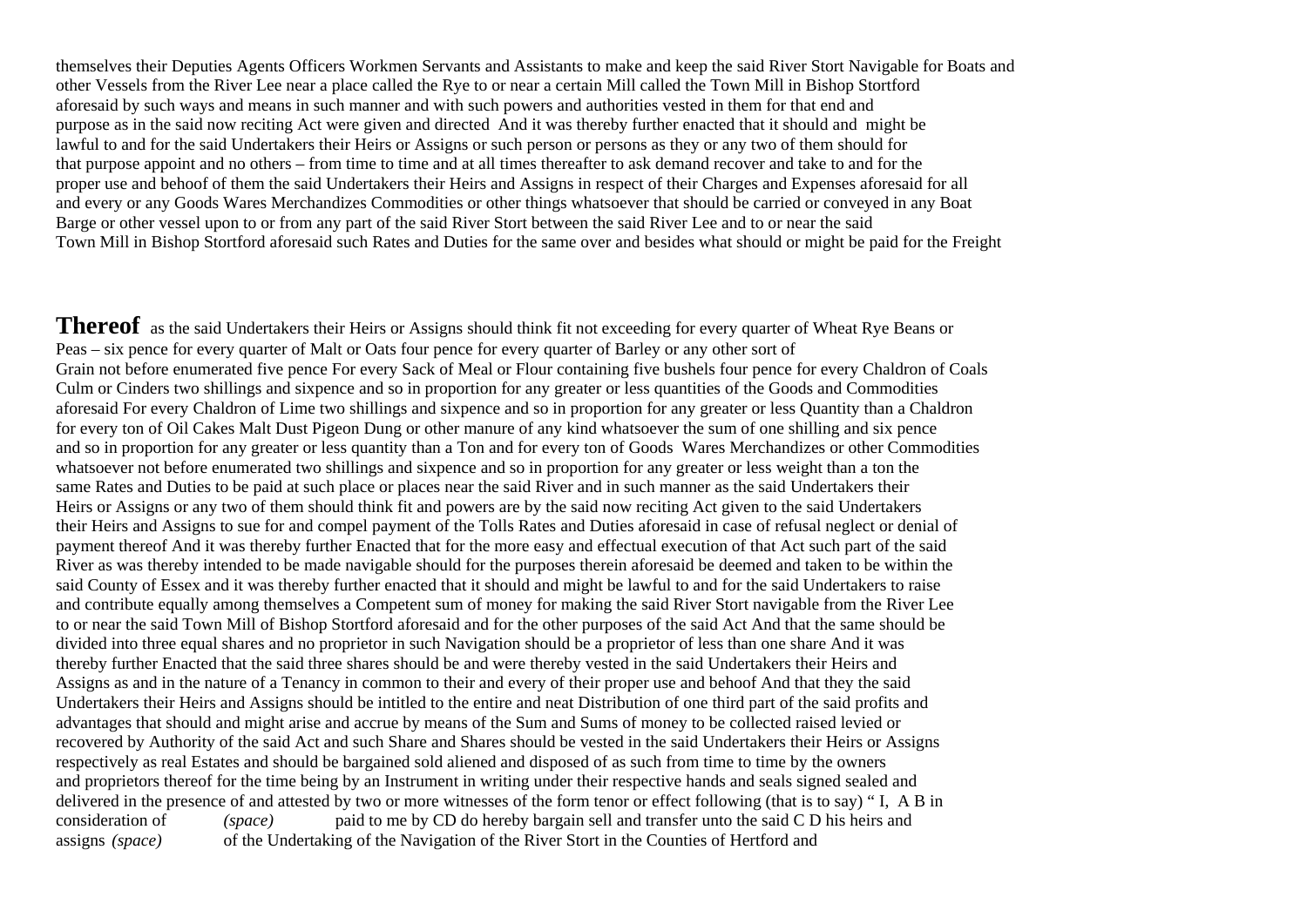themselves their Deputies Agents Officers Workmen Servants and Assistants to make and keep the said River Stort Navigable for Boats and other Vessels from the River Lee near a place called the Rye to or near a certain Mill called the Town Mill in Bishop Stortford aforesaid by such ways and means in such manner and with such powers and authorities vested in them for that end and purpose as in the said now reciting Act were given and directed And it was thereby further enacted that it should and might be lawful to and for the said Undertakers their Heirs or Assigns or such person or persons as they or any two of them should for that purpose appoint and no others – from time to time and at all times thereafter to ask demand recover and take to and for the proper use and behoof of them the said Undertakers their Heirs and Assigns in respect of their Charges and Expenses aforesaid for all and every or any Goods Wares Merchandizes Commodities or other things whatsoever that should be carried or conveyed in any Boat Barge or other vessel upon to or from any part of the said River Stort between the said River Lee and to or near the said Town Mill in Bishop Stortford aforesaid such Rates and Duties for the same over and besides what should or might be paid for the Freight

**Thereof** as the said Undertakers their Heirs or Assigns should think fit not exceeding for every quarter of Wheat Rye Beans or Peas – six pence for every quarter of Malt or Oats four pence for every quarter of Barley or any other sort of Grain not before enumerated five pence For every Sack of Meal or Flour containing five bushels four pence for every Chaldron of Coals Culm or Cinders two shillings and sixpence and so in proportion for any greater or less quantities of the Goods and Commodities aforesaid For every Chaldron of Lime two shillings and sixpence and so in proportion for any greater or less Quantity than a Chaldron for every ton of Oil Cakes Malt Dust Pigeon Dung or other manure of any kind whatsoever the sum of one shilling and six pence and so in proportion for any greater or less quantity than a Ton and for every ton of Goods Wares Merchandizes or other Commodities whatsoever not before enumerated two shillings and sixpence and so in proportion for any greater or less weight than a ton the same Rates and Duties to be paid at such place or places near the said River and in such manner as the said Undertakers their Heirs or Assigns or any two of them should think fit and powers are by the said now reciting Act given to the said Undertakers their Heirs and Assigns to sue for and compel payment of the Tolls Rates and Duties aforesaid in case of refusal neglect or denial of payment thereof And it was thereby further Enacted that for the more easy and effectual execution of that Act such part of the said River as was thereby intended to be made navigable should for the purposes therein aforesaid be deemed and taken to be within the said County of Essex and it was thereby further enacted that it should and might be lawful to and for the said Undertakers to raise and contribute equally among themselves a Competent sum of money for making the said River Stort navigable from the River Lee to or near the said Town Mill of Bishop Stortford aforesaid and for the other purposes of the said Act And that the same should be divided into three equal shares and no proprietor in such Navigation should be a proprietor of less than one share And it was thereby further Enacted that the said three shares should be and were thereby vested in the said Undertakers their Heirs and Assigns as and in the nature of a Tenancy in common to their and every of their proper use and behoof And that they the said Undertakers their Heirs and Assigns should be intitled to the entire and neat Distribution of one third part of the said profits and advantages that should and might arise and accrue by means of the Sum and Sums of money to be collected raised levied or recovered by Authority of the said Act and such Share and Shares should be vested in the said Undertakers their Heirs or Assigns respectively as real Estates and should be bargained sold aliened and disposed of as such from time to time by the owners and proprietors thereof for the time being by an Instrument in writing under their respective hands and seals signed sealed and delivered in the presence of and attested by two or more witnesses of the form tenor or effect following (that is to say) " I, A B in consideration of *(space)* paid to me by CD do hereby bargain sell and transfer unto the said C D his heirs and assigns *(space)* of the Undertaking of the Navigation of the River Stort in the Counties of Hertford and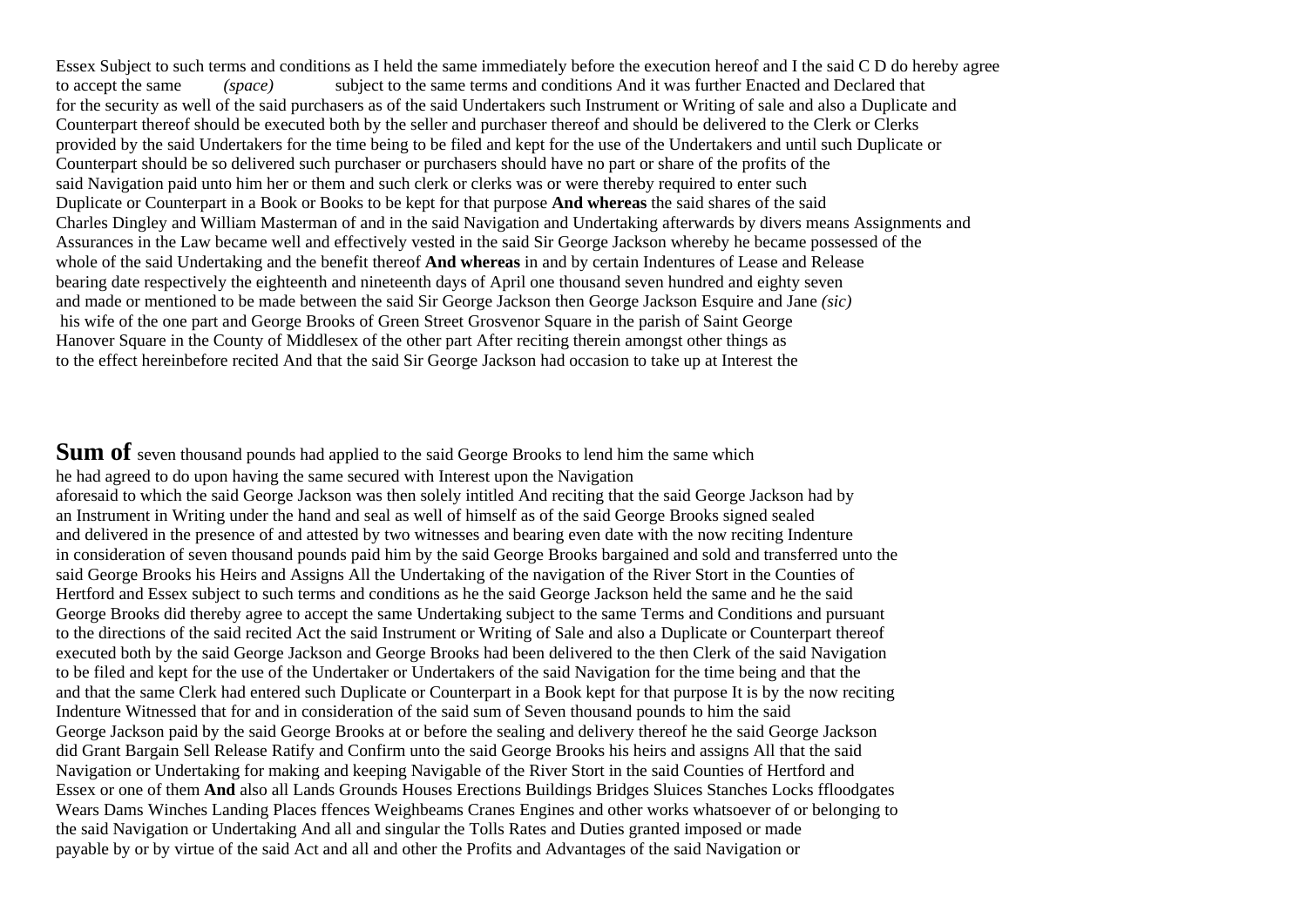Essex Subject to such terms and conditions as I held the same immediately before the execution hereof and I the said C D do hereby agree to accept the same *(space)* subject to the same terms and conditions And it was further Enacted and Declared that for the security as well of the said purchasers as of the said Undertakers such Instrument or Writing of sale and also a Duplicate and Counterpart thereof should be executed both by the seller and purchaser thereof and should be delivered to the Clerk or Clerks provided by the said Undertakers for the time being to be filed and kept for the use of the Undertakers and until such Duplicate or Counterpart should be so delivered such purchaser or purchasers should have no part or share of the profits of the said Navigation paid unto him her or them and such clerk or clerks was or were thereby required to enter such Duplicate or Counterpart in a Book or Books to be kept for that purpose **And whereas** the said shares of the said Charles Dingley and William Masterman of and in the said Navigation and Undertaking afterwards by divers means Assignments and Assurances in the Law became well and effectively vested in the said Sir George Jackson whereby he became possessed of the whole of the said Undertaking and the benefit thereof **And whereas** in and by certain Indentures of Lease and Release bearing date respectively the eighteenth and nineteenth days of April one thousand seven hundred and eighty seven and made or mentioned to be made between the said Sir George Jackson then George Jackson Esquire and Jane *(sic)*  his wife of the one part and George Brooks of Green Street Grosvenor Square in the parish of Saint George Hanover Square in the County of Middlesex of the other part After reciting therein amongst other things as to the effect hereinbefore recited And that the said Sir George Jackson had occasion to take up at Interest the

**Sum of** seven thousand pounds had applied to the said George Brooks to lend him the same which he had agreed to do upon having the same secured with Interest upon the Navigation aforesaid to which the said George Jackson was then solely intitled And reciting that the said George Jackson had by an Instrument in Writing under the hand and seal as well of himself as of the said George Brooks signed sealed and delivered in the presence of and attested by two witnesses and bearing even date with the now reciting Indenture in consideration of seven thousand pounds paid him by the said George Brooks bargained and sold and transferred unto the said George Brooks his Heirs and Assigns All the Undertaking of the navigation of the River Stort in the Counties of Hertford and Essex subject to such terms and conditions as he the said George Jackson held the same and he the said George Brooks did thereby agree to accept the same Undertaking subject to the same Terms and Conditions and pursuant to the directions of the said recited Act the said Instrument or Writing of Sale and also a Duplicate or Counterpart thereof executed both by the said George Jackson and George Brooks had been delivered to the then Clerk of the said Navigation to be filed and kept for the use of the Undertaker or Undertakers of the said Navigation for the time being and that the and that the same Clerk had entered such Duplicate or Counterpart in a Book kept for that purpose It is by the now reciting Indenture Witnessed that for and in consideration of the said sum of Seven thousand pounds to him the said George Jackson paid by the said George Brooks at or before the sealing and delivery thereof he the said George Jackson did Grant Bargain Sell Release Ratify and Confirm unto the said George Brooks his heirs and assigns All that the said Navigation or Undertaking for making and keeping Navigable of the River Stort in the said Counties of Hertford and Essex or one of them **And** also all Lands Grounds Houses Erections Buildings Bridges Sluices Stanches Locks ffloodgates Wears Dams Winches Landing Places ffences Weighbeams Cranes Engines and other works whatsoever of or belonging to the said Navigation or Undertaking And all and singular the Tolls Rates and Duties granted imposed or made payable by or by virtue of the said Act and all and other the Profits and Advantages of the said Navigation or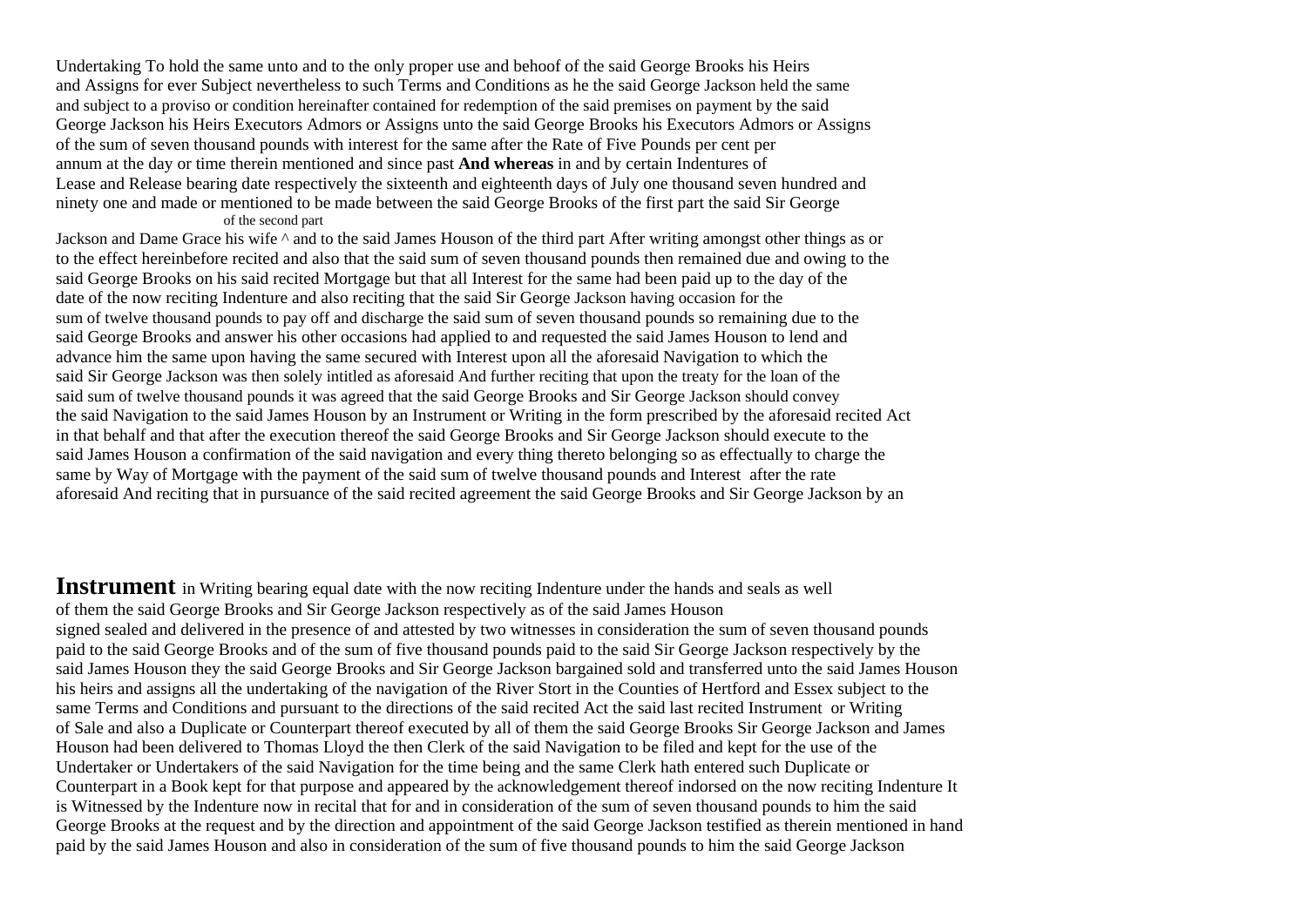Undertaking To hold the same unto and to the only proper use and behoof of the said George Brooks his Heirs and Assigns for ever Subject nevertheless to such Terms and Conditions as he the said George Jackson held the same and subject to a proviso or condition hereinafter contained for redemption of the said premises on payment by the said George Jackson his Heirs Executors Admors or Assigns unto the said George Brooks his Executors Admors or Assigns of the sum of seven thousand pounds with interest for the same after the Rate of Five Pounds per cent per annum at the day or time therein mentioned and since past **And whereas** in and by certain Indentures of Lease and Release bearing date respectively the sixteenth and eighteenth days of July one thousand seven hundred and ninety one and made or mentioned to be made between the said George Brooks of the first part the said Sir George of the second part

Jackson and Dame Grace his wife ^ and to the said James Houson of the third part After writing amongst other things as or to the effect hereinbefore recited and also that the said sum of seven thousand pounds then remained due and owing to the said George Brooks on his said recited Mortgage but that all Interest for the same had been paid up to the day of the date of the now reciting Indenture and also reciting that the said Sir George Jackson having occasion for the sum of twelve thousand pounds to pay off and discharge the said sum of seven thousand pounds so remaining due to the said George Brooks and answer his other occasions had applied to and requested the said James Houson to lend and advance him the same upon having the same secured with Interest upon all the aforesaid Navigation to which the said Sir George Jackson was then solely intitled as aforesaid And further reciting that upon the treaty for the loan of the said sum of twelve thousand pounds it was agreed that the said George Brooks and Sir George Jackson should convey the said Navigation to the said James Houson by an Instrument or Writing in the form prescribed by the aforesaid recited Act in that behalf and that after the execution thereof the said George Brooks and Sir George Jackson should execute to the said James Houson a confirmation of the said navigation and every thing thereto belonging so as effectually to charge the same by Way of Mortgage with the payment of the said sum of twelve thousand pounds and Interest after the rate aforesaid And reciting that in pursuance of the said recited agreement the said George Brooks and Sir George Jackson by an

**Instrument** in Writing bearing equal date with the now reciting Indenture under the hands and seals as well of them the said George Brooks and Sir George Jackson respectively as of the said James Houson signed sealed and delivered in the presence of and attested by two witnesses in consideration the sum of seven thousand pounds paid to the said George Brooks and of the sum of five thousand pounds paid to the said Sir George Jackson respectively by the said James Houson they the said George Brooks and Sir George Jackson bargained sold and transferred unto the said James Houson his heirs and assigns all the undertaking of the navigation of the River Stort in the Counties of Hertford and Essex subject to the same Terms and Conditions and pursuant to the directions of the said recited Act the said last recited Instrument or Writing of Sale and also a Duplicate or Counterpart thereof executed by all of them the said George Brooks Sir George Jackson and James Houson had been delivered to Thomas Lloyd the then Clerk of the said Navigation to be filed and kept for the use of the Undertaker or Undertakers of the said Navigation for the time being and the same Clerk hath entered such Duplicate or Counterpart in a Book kept for that purpose and appeared by the acknowledgement thereof indorsed on the now reciting Indenture It is Witnessed by the Indenture now in recital that for and in consideration of the sum of seven thousand pounds to him the said George Brooks at the request and by the direction and appointment of the said George Jackson testified as therein mentioned in hand paid by the said James Houson and also in consideration of the sum of five thousand pounds to him the said George Jackson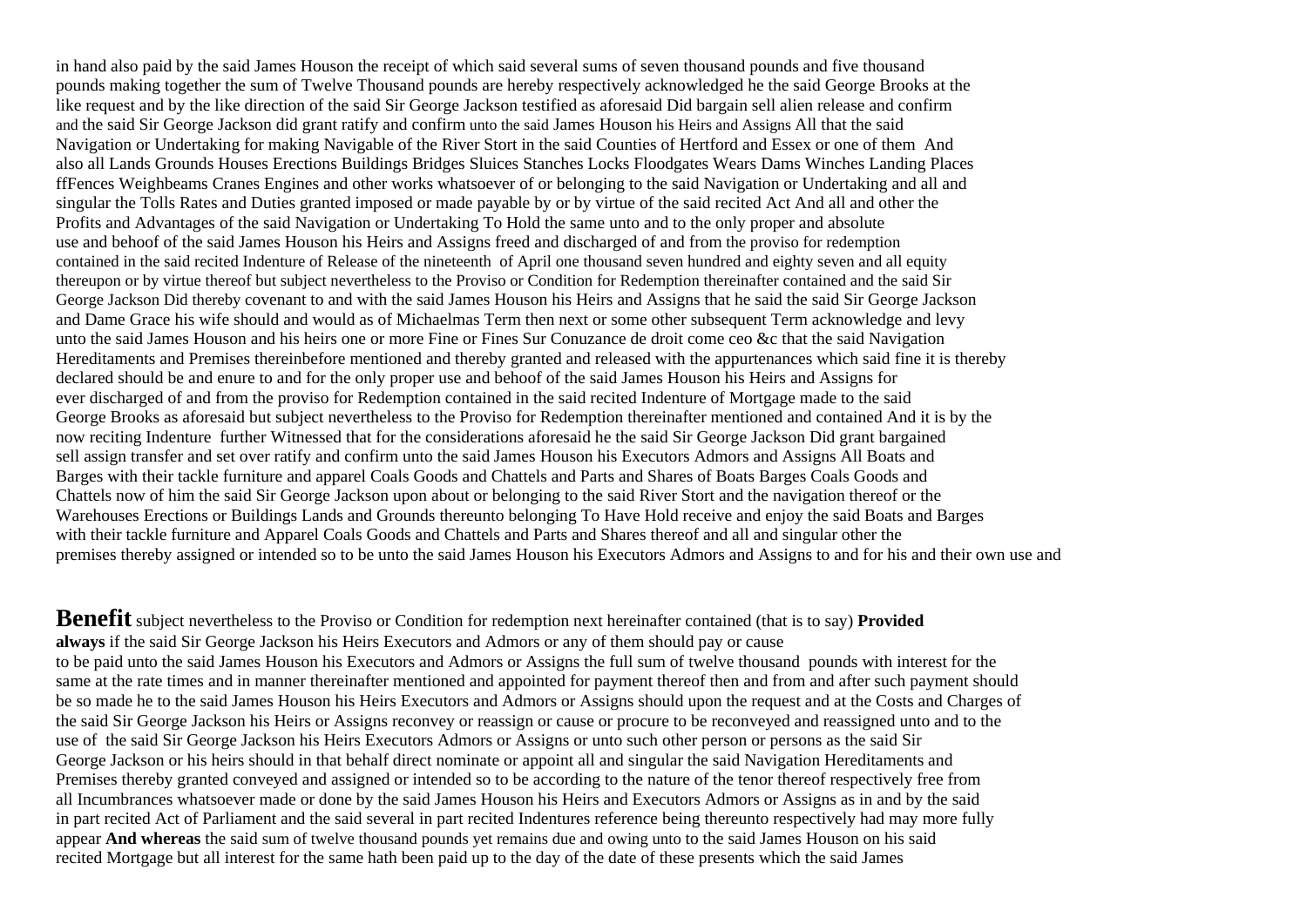in hand also paid by the said James Houson the receipt of which said several sums of seven thousand pounds and five thousand pounds making together the sum of Twelve Thousand pounds are hereby respectively acknowledged he the said George Brooks at the like request and by the like direction of the said Sir George Jackson testified as aforesaid Did bargain sell alien release and confirm and the said Sir George Jackson did grant ratify and confirm unto the said James Houson his Heirs and Assigns All that the said Navigation or Undertaking for making Navigable of the River Stort in the said Counties of Hertford and Essex or one of them And also all Lands Grounds Houses Erections Buildings Bridges Sluices Stanches Locks Floodgates Wears Dams Winches Landing Places ffFences Weighbeams Cranes Engines and other works whatsoever of or belonging to the said Navigation or Undertaking and all and singular the Tolls Rates and Duties granted imposed or made payable by or by virtue of the said recited Act And all and other the Profits and Advantages of the said Navigation or Undertaking To Hold the same unto and to the only proper and absolute use and behoof of the said James Houson his Heirs and Assigns freed and discharged of and from the proviso for redemption contained in the said recited Indenture of Release of the nineteenth of April one thousand seven hundred and eighty seven and all equity thereupon or by virtue thereof but subject nevertheless to the Proviso or Condition for Redemption thereinafter contained and the said Sir George Jackson Did thereby covenant to and with the said James Houson his Heirs and Assigns that he said the said Sir George Jackson and Dame Grace his wife should and would as of Michaelmas Term then next or some other subsequent Term acknowledge and levy unto the said James Houson and his heirs one or more Fine or Fines Sur Conuzance de droit come ceo &c that the said Navigation Hereditaments and Premises thereinbefore mentioned and thereby granted and released with the appurtenances which said fine it is thereby declared should be and enure to and for the only proper use and behoof of the said James Houson his Heirs and Assigns for ever discharged of and from the proviso for Redemption contained in the said recited Indenture of Mortgage made to the said George Brooks as aforesaid but subject nevertheless to the Proviso for Redemption thereinafter mentioned and contained And it is by the now reciting Indenture further Witnessed that for the considerations aforesaid he the said Sir George Jackson Did grant bargained sell assign transfer and set over ratify and confirm unto the said James Houson his Executors Admors and Assigns All Boats and Barges with their tackle furniture and apparel Coals Goods and Chattels and Parts and Shares of Boats Barges Coals Goods and Chattels now of him the said Sir George Jackson upon about or belonging to the said River Stort and the navigation thereof or the Warehouses Erections or Buildings Lands and Grounds thereunto belonging To Have Hold receive and enjoy the said Boats and Barges with their tackle furniture and Apparel Coals Goods and Chattels and Parts and Shares thereof and all and singular other the premises thereby assigned or intended so to be unto the said James Houson his Executors Admors and Assigns to and for his and their own use and

**Benefit** subject nevertheless to the Proviso or Condition for redemption next hereinafter contained (that is to say) **Provided always** if the said Sir George Jackson his Heirs Executors and Admors or any of them should pay or cause to be paid unto the said James Houson his Executors and Admors or Assigns the full sum of twelve thousand pounds with interest for the same at the rate times and in manner thereinafter mentioned and appointed for payment thereof then and from and after such payment should be so made he to the said James Houson his Heirs Executors and Admors or Assigns should upon the request and at the Costs and Charges of the said Sir George Jackson his Heirs or Assigns reconvey or reassign or cause or procure to be reconveyed and reassigned unto and to the use of the said Sir George Jackson his Heirs Executors Admors or Assigns or unto such other person or persons as the said Sir George Jackson or his heirs should in that behalf direct nominate or appoint all and singular the said Navigation Hereditaments and Premises thereby granted conveyed and assigned or intended so to be according to the nature of the tenor thereof respectively free from all Incumbrances whatsoever made or done by the said James Houson his Heirs and Executors Admors or Assigns as in and by the said in part recited Act of Parliament and the said several in part recited Indentures reference being thereunto respectively had may more fully appear **And whereas** the said sum of twelve thousand pounds yet remains due and owing unto to the said James Houson on his said recited Mortgage but all interest for the same hath been paid up to the day of the date of these presents which the said James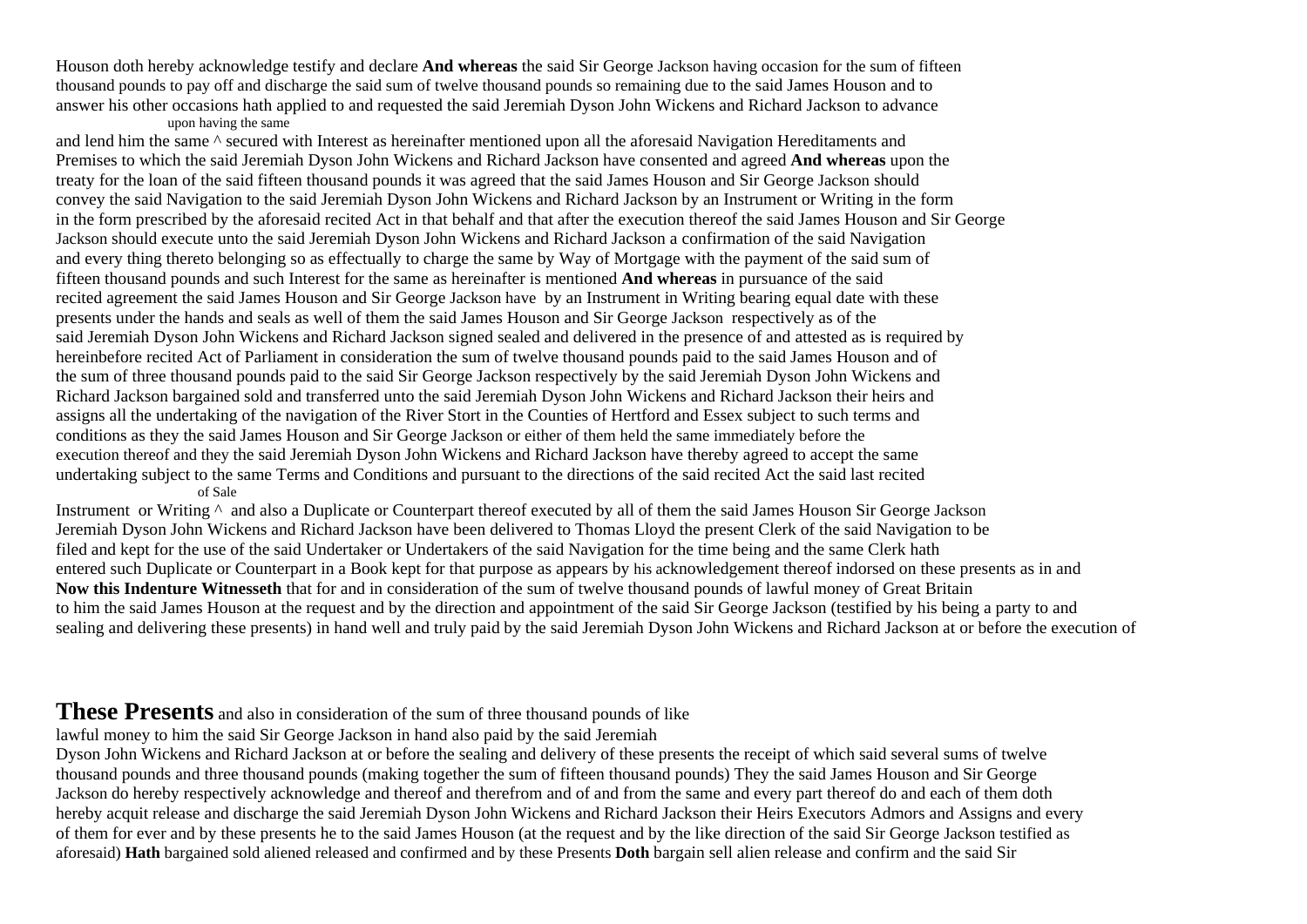Houson doth hereby acknowledge testify and declare **And whereas** the said Sir George Jackson having occasion for the sum of fifteen thousand pounds to pay off and discharge the said sum of twelve thousand pounds so remaining due to the said James Houson and to answer his other occasions hath applied to and requested the said Jeremiah Dyson John Wickens and Richard Jackson to advance

## upon having the same

and lend him the same ^ secured with Interest as hereinafter mentioned upon all the aforesaid Navigation Hereditaments and Premises to which the said Jeremiah Dyson John Wickens and Richard Jackson have consented and agreed **And whereas** upon the treaty for the loan of the said fifteen thousand pounds it was agreed that the said James Houson and Sir George Jackson should convey the said Navigation to the said Jeremiah Dyson John Wickens and Richard Jackson by an Instrument or Writing in the form in the form prescribed by the aforesaid recited Act in that behalf and that after the execution thereof the said James Houson and Sir George Jackson should execute unto the said Jeremiah Dyson John Wickens and Richard Jackson a confirmation of the said Navigation and every thing thereto belonging so as effectually to charge the same by Way of Mortgage with the payment of the said sum of fifteen thousand pounds and such Interest for the same as hereinafter is mentioned **And whereas** in pursuance of the said recited agreement the said James Houson and Sir George Jackson have by an Instrument in Writing bearing equal date with these presents under the hands and seals as well of them the said James Houson and Sir George Jackson respectively as of the said Jeremiah Dyson John Wickens and Richard Jackson signed sealed and delivered in the presence of and attested as is required by hereinbefore recited Act of Parliament in consideration the sum of twelve thousand pounds paid to the said James Houson and of the sum of three thousand pounds paid to the said Sir George Jackson respectively by the said Jeremiah Dyson John Wickens and Richard Jackson bargained sold and transferred unto the said Jeremiah Dyson John Wickens and Richard Jackson their heirs and assigns all the undertaking of the navigation of the River Stort in the Counties of Hertford and Essex subject to such terms and conditions as they the said James Houson and Sir George Jackson or either of them held the same immediately before the execution thereof and they the said Jeremiah Dyson John Wickens and Richard Jackson have thereby agreed to accept the same undertaking subject to the same Terms and Conditions and pursuant to the directions of the said recited Act the said last recited of Sale

Instrument or Writing ^ and also a Duplicate or Counterpart thereof executed by all of them the said James Houson Sir George Jackson Jeremiah Dyson John Wickens and Richard Jackson have been delivered to Thomas Lloyd the present Clerk of the said Navigation to be filed and kept for the use of the said Undertaker or Undertakers of the said Navigation for the time being and the same Clerk hath entered such Duplicate or Counterpart in a Book kept for that purpose as appears by his acknowledgement thereof indorsed on these presents as in and **Now this Indenture Witnesseth** that for and in consideration of the sum of twelve thousand pounds of lawful money of Great Britain to him the said James Houson at the request and by the direction and appointment of the said Sir George Jackson (testified by his being a party to and sealing and delivering these presents) in hand well and truly paid by the said Jeremiah Dyson John Wickens and Richard Jackson at or before the execution of

# **These Presents** and also in consideration of the sum of three thousand pounds of like

lawful money to him the said Sir George Jackson in hand also paid by the said Jeremiah

Dyson John Wickens and Richard Jackson at or before the sealing and delivery of these presents the receipt of which said several sums of twelve thousand pounds and three thousand pounds (making together the sum of fifteen thousand pounds) They the said James Houson and Sir George Jackson do hereby respectively acknowledge and thereof and therefrom and of and from the same and every part thereof do and each of them doth hereby acquit release and discharge the said Jeremiah Dyson John Wickens and Richard Jackson their Heirs Executors Admors and Assigns and every of them for ever and by these presents he to the said James Houson (at the request and by the like direction of the said Sir George Jackson testified as aforesaid) **Hath** bargained sold aliened released and confirmed and by these Presents **Doth** bargain sell alien release and confirm and the said Sir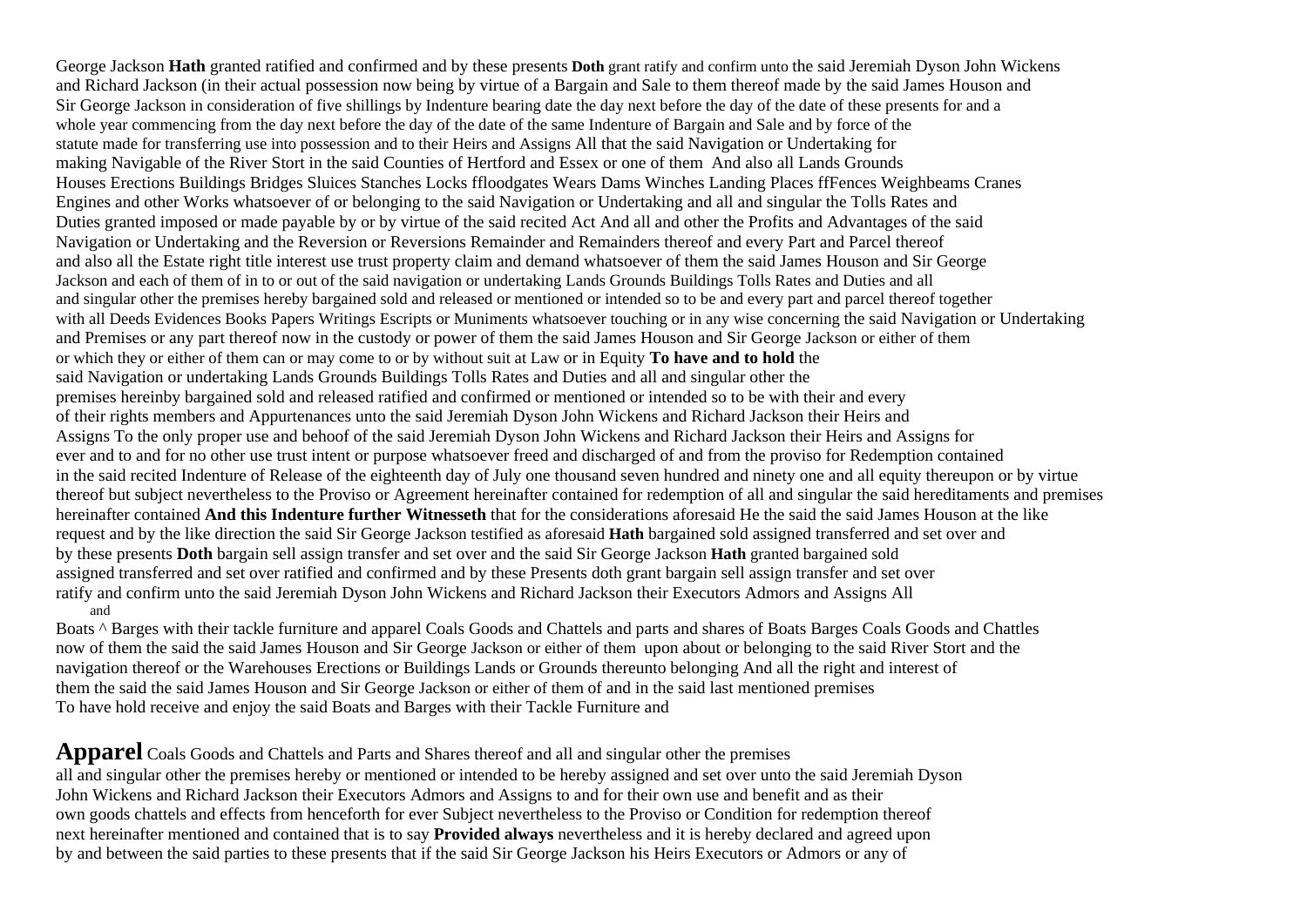George Jackson **Hath** granted ratified and confirmed and by these presents **Doth** grant ratify and confirm unto the said Jeremiah Dyson John Wickens and Richard Jackson (in their actual possession now being by virtue of a Bargain and Sale to them thereof made by the said James Houson and Sir George Jackson in consideration of five shillings by Indenture bearing date the day next before the day of the date of these presents for and a whole year commencing from the day next before the day of the date of the same Indenture of Bargain and Sale and by force of the statute made for transferring use into possession and to their Heirs and Assigns All that the said Navigation or Undertaking for making Navigable of the River Stort in the said Counties of Hertford and Essex or one of them And also all Lands Grounds Houses Erections Buildings Bridges Sluices Stanches Locks ffloodgates Wears Dams Winches Landing Places ffFences Weighbeams Cranes Engines and other Works whatsoever of or belonging to the said Navigation or Undertaking and all and singular the Tolls Rates and Duties granted imposed or made payable by or by virtue of the said recited Act And all and other the Profits and Advantages of the said Navigation or Undertaking and the Reversion or Reversions Remainder and Remainders thereof and every Part and Parcel thereof and also all the Estate right title interest use trust property claim and demand whatsoever of them the said James Houson and Sir George Jackson and each of them of in to or out of the said navigation or undertaking Lands Grounds Buildings Tolls Rates and Duties and all and singular other the premises hereby bargained sold and released or mentioned or intended so to be and every part and parcel thereof together with all Deeds Evidences Books Papers Writings Escripts or Muniments whatsoever touching or in any wise concerning the said Navigation or Undertaking and Premises or any part thereof now in the custody or power of them the said James Houson and Sir George Jackson or either of them or which they or either of them can or may come to or by without suit at Law or in Equity **To have and to hold** the said Navigation or undertaking Lands Grounds Buildings Tolls Rates and Duties and all and singular other the premises hereinby bargained sold and released ratified and confirmed or mentioned or intended so to be with their and every of their rights members and Appurtenances unto the said Jeremiah Dyson John Wickens and Richard Jackson their Heirs and Assigns To the only proper use and behoof of the said Jeremiah Dyson John Wickens and Richard Jackson their Heirs and Assigns for ever and to and for no other use trust intent or purpose whatsoever freed and discharged of and from the proviso for Redemption contained in the said recited Indenture of Release of the eighteenth day of July one thousand seven hundred and ninety one and all equity thereupon or by virtue thereof but subject nevertheless to the Proviso or Agreement hereinafter contained for redemption of all and singular the said hereditaments and premises hereinafter contained **And this Indenture further Witnesseth** that for the considerations aforesaid He the said the said James Houson at the like request and by the like direction the said Sir George Jackson testified as aforesaid **Hath** bargained sold assigned transferred and set over and by these presents **Doth** bargain sell assign transfer and set over and the said Sir George Jackson **Hath** granted bargained sold assigned transferred and set over ratified and confirmed and by these Presents doth grant bargain sell assign transfer and set over ratify and confirm unto the said Jeremiah Dyson John Wickens and Richard Jackson their Executors Admors and Assigns All and

Boats ^ Barges with their tackle furniture and apparel Coals Goods and Chattels and parts and shares of Boats Barges Coals Goods and Chattles now of them the said the said James Houson and Sir George Jackson or either of them upon about or belonging to the said River Stort and the navigation thereof or the Warehouses Erections or Buildings Lands or Grounds thereunto belonging And all the right and interest of them the said the said James Houson and Sir George Jackson or either of them of and in the said last mentioned premises To have hold receive and enjoy the said Boats and Barges with their Tackle Furniture and

**Apparel** Coals Goods and Chattels and Parts and Shares thereof and all and singular other the premises all and singular other the premises hereby or mentioned or intended to be hereby assigned and set over unto the said Jeremiah Dyson John Wickens and Richard Jackson their Executors Admors and Assigns to and for their own use and benefit and as their own goods chattels and effects from henceforth for ever Subject nevertheless to the Proviso or Condition for redemption thereof next hereinafter mentioned and contained that is to say **Provided always** nevertheless and it is hereby declared and agreed upon by and between the said parties to these presents that if the said Sir George Jackson his Heirs Executors or Admors or any of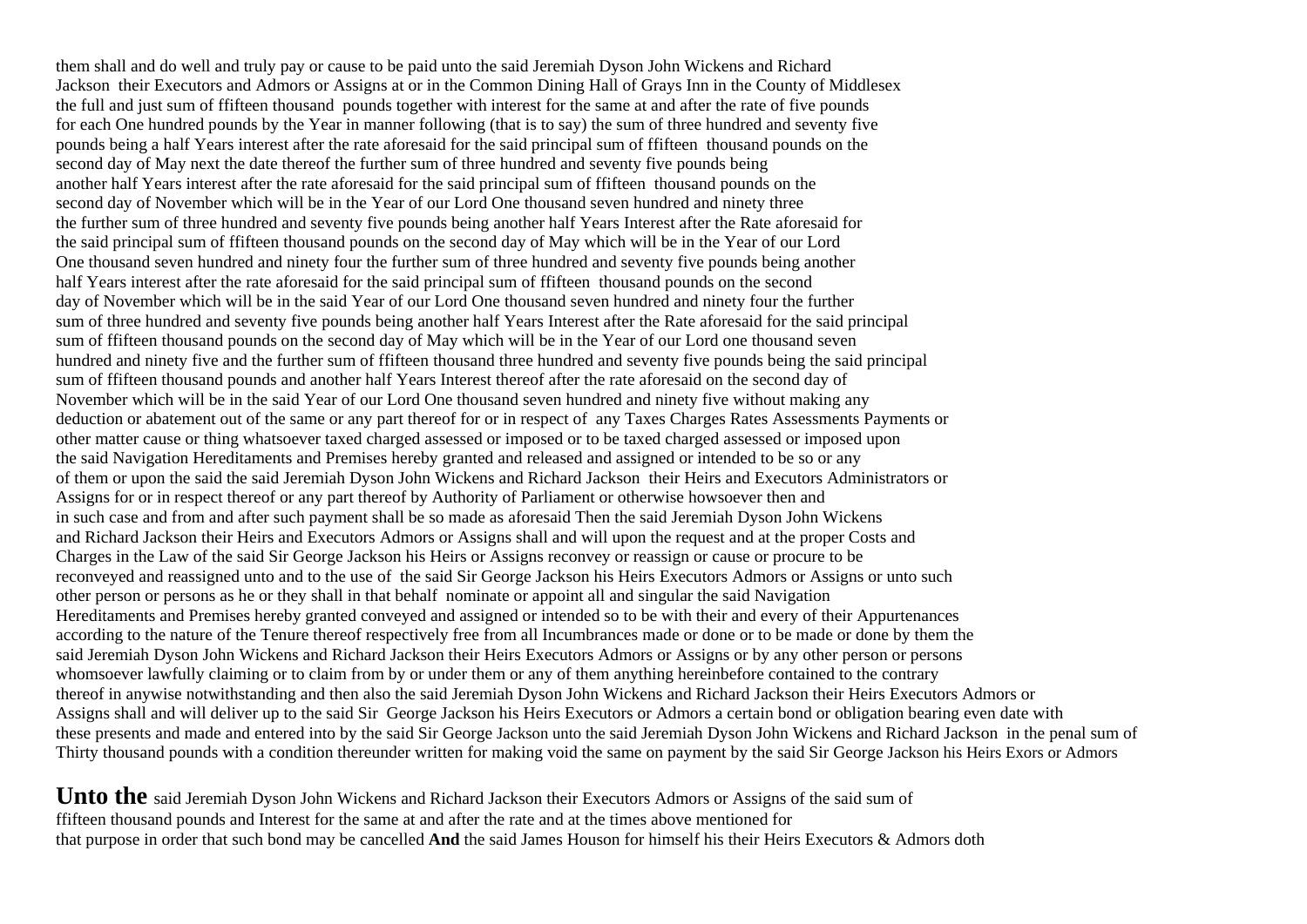them shall and do well and truly pay or cause to be paid unto the said Jeremiah Dyson John Wickens and Richard Jackson their Executors and Admors or Assigns at or in the Common Dining Hall of Grays Inn in the County of Middlesex the full and just sum of ffifteen thousand pounds together with interest for the same at and after the rate of five pounds for each One hundred pounds by the Year in manner following (that is to say) the sum of three hundred and seventy five pounds being a half Years interest after the rate aforesaid for the said principal sum of ffifteen thousand pounds on the second day of May next the date thereof the further sum of three hundred and seventy five pounds being another half Years interest after the rate aforesaid for the said principal sum of ffifteen thousand pounds on the second day of November which will be in the Year of our Lord One thousand seven hundred and ninety three the further sum of three hundred and seventy five pounds being another half Years Interest after the Rate aforesaid for the said principal sum of ffifteen thousand pounds on the second day of May which will be in the Year of our Lord One thousand seven hundred and ninety four the further sum of three hundred and seventy five pounds being another half Years interest after the rate aforesaid for the said principal sum of ffifteen thousand pounds on the second day of November which will be in the said Year of our Lord One thousand seven hundred and ninety four the further sum of three hundred and seventy five pounds being another half Years Interest after the Rate aforesaid for the said principal sum of ffifteen thousand pounds on the second day of May which will be in the Year of our Lord one thousand seven hundred and ninety five and the further sum of ffifteen thousand three hundred and seventy five pounds being the said principal sum of ffifteen thousand pounds and another half Years Interest thereof after the rate aforesaid on the second day of November which will be in the said Year of our Lord One thousand seven hundred and ninety five without making any deduction or abatement out of the same or any part thereof for or in respect of any Taxes Charges Rates Assessments Payments or other matter cause or thing whatsoever taxed charged assessed or imposed or to be taxed charged assessed or imposed upon the said Navigation Hereditaments and Premises hereby granted and released and assigned or intended to be so or any of them or upon the said the said Jeremiah Dyson John Wickens and Richard Jackson their Heirs and Executors Administrators or Assigns for or in respect thereof or any part thereof by Authority of Parliament or otherwise howsoever then and in such case and from and after such payment shall be so made as aforesaid Then the said Jeremiah Dyson John Wickens and Richard Jackson their Heirs and Executors Admors or Assigns shall and will upon the request and at the proper Costs and Charges in the Law of the said Sir George Jackson his Heirs or Assigns reconvey or reassign or cause or procure to be reconveyed and reassigned unto and to the use of the said Sir George Jackson his Heirs Executors Admors or Assigns or unto such other person or persons as he or they shall in that behalf nominate or appoint all and singular the said Navigation Hereditaments and Premises hereby granted conveyed and assigned or intended so to be with their and every of their Appurtenances according to the nature of the Tenure thereof respectively free from all Incumbrances made or done or to be made or done by them the said Jeremiah Dyson John Wickens and Richard Jackson their Heirs Executors Admors or Assigns or by any other person or persons whomsoever lawfully claiming or to claim from by or under them or any of them anything hereinbefore contained to the contrary thereof in anywise notwithstanding and then also the said Jeremiah Dyson John Wickens and Richard Jackson their Heirs Executors Admors or Assigns shall and will deliver up to the said Sir George Jackson his Heirs Executors or Admors a certain bond or obligation bearing even date with these presents and made and entered into by the said Sir George Jackson unto the said Jeremiah Dyson John Wickens and Richard Jackson in the penal sum of Thirty thousand pounds with a condition thereunder written for making void the same on payment by the said Sir George Jackson his Heirs Exors or Admors

**Unto the** said Jeremiah Dyson John Wickens and Richard Jackson their Executors Admors or Assigns of the said sum of ffifteen thousand pounds and Interest for the same at and after the rate and at the times above mentioned for that purpose in order that such bond may be cancelled **And** the said James Houson for himself his their Heirs Executors & Admors doth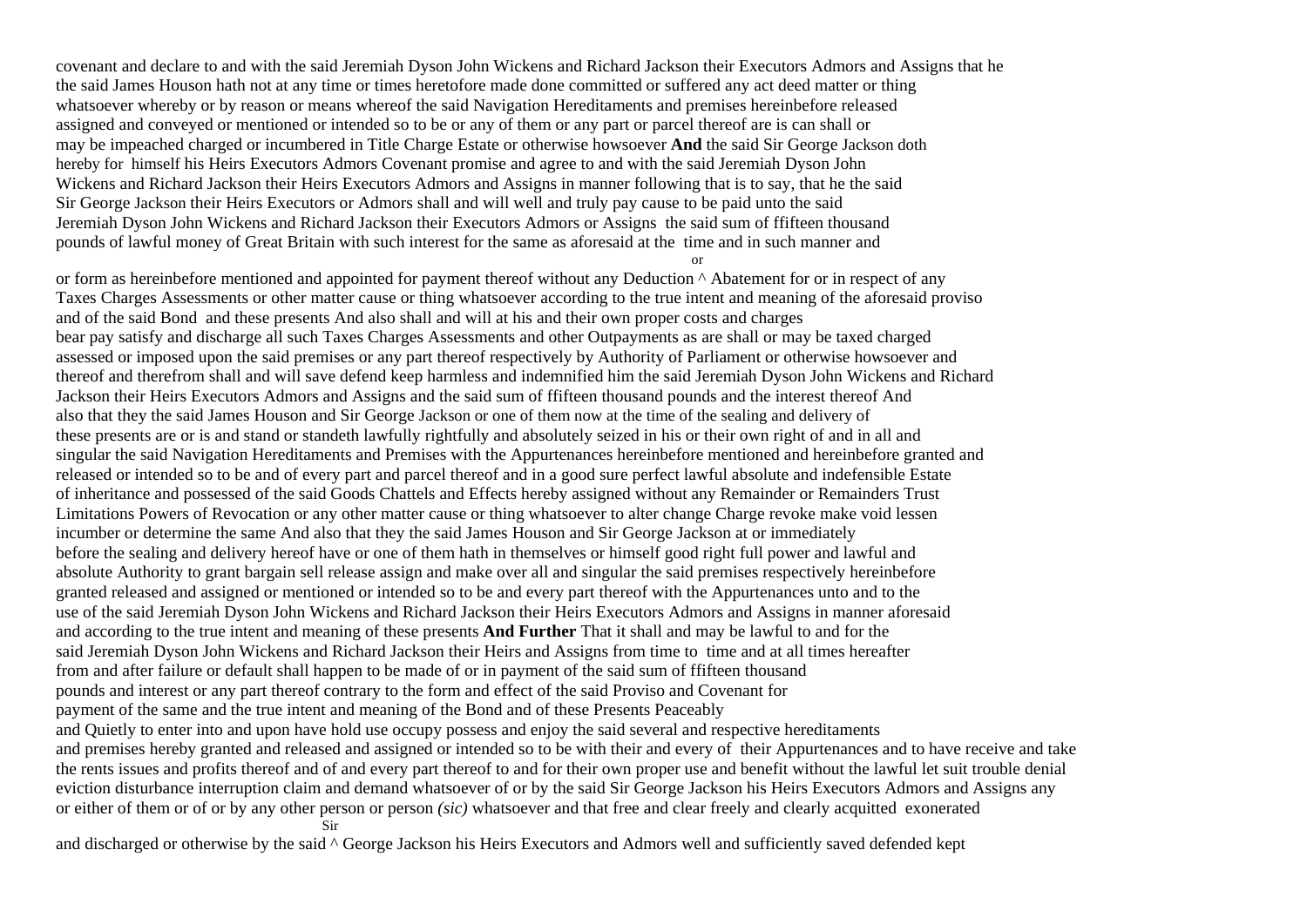covenant and declare to and with the said Jeremiah Dyson John Wickens and Richard Jackson their Executors Admors and Assigns that he the said James Houson hath not at any time or times heretofore made done committed or suffered any act deed matter or thing whatsoever whereby or by reason or means whereof the said Navigation Hereditaments and premises hereinbefore released assigned and conveyed or mentioned or intended so to be or any of them or any part or parcel thereof are is can shall or may be impeached charged or incumbered in Title Charge Estate or otherwise howsoever **And** the said Sir George Jackson doth hereby for himself his Heirs Executors Admors Covenant promise and agree to and with the said Jeremiah Dyson John Wickens and Richard Jackson their Heirs Executors Admors and Assigns in manner following that is to say, that he the said Sir George Jackson their Heirs Executors or Admors shall and will well and truly pay cause to be paid unto the said Jeremiah Dyson John Wickens and Richard Jackson their Executors Admors or Assigns the said sum of ffifteen thousand pounds of lawful money of Great Britain with such interest for the same as aforesaid at the time and in such manner and

or

or form as hereinbefore mentioned and appointed for payment thereof without any Deduction ^ Abatement for or in respect of any Taxes Charges Assessments or other matter cause or thing whatsoever according to the true intent and meaning of the aforesaid proviso and of the said Bond and these presents And also shall and will at his and their own proper costs and charges bear pay satisfy and discharge all such Taxes Charges Assessments and other Outpayments as are shall or may be taxed charged assessed or imposed upon the said premises or any part thereof respectively by Authority of Parliament or otherwise howsoever and thereof and therefrom shall and will save defend keep harmless and indemnified him the said Jeremiah Dyson John Wickens and Richard Jackson their Heirs Executors Admors and Assigns and the said sum of ffifteen thousand pounds and the interest thereof And also that they the said James Houson and Sir George Jackson or one of them now at the time of the sealing and delivery of these presents are or is and stand or standeth lawfully rightfully and absolutely seized in his or their own right of and in all and singular the said Navigation Hereditaments and Premises with the Appurtenances hereinbefore mentioned and hereinbefore granted and released or intended so to be and of every part and parcel thereof and in a good sure perfect lawful absolute and indefensible Estate of inheritance and possessed of the said Goods Chattels and Effects hereby assigned without any Remainder or Remainders Trust Limitations Powers of Revocation or any other matter cause or thing whatsoever to alter change Charge revoke make void lessen incumber or determine the same And also that they the said James Houson and Sir George Jackson at or immediately before the sealing and delivery hereof have or one of them hath in themselves or himself good right full power and lawful and absolute Authority to grant bargain sell release assign and make over all and singular the said premises respectively hereinbefore granted released and assigned or mentioned or intended so to be and every part thereof with the Appurtenances unto and to the use of the said Jeremiah Dyson John Wickens and Richard Jackson their Heirs Executors Admors and Assigns in manner aforesaid and according to the true intent and meaning of these presents **And Further** That it shall and may be lawful to and for the said Jeremiah Dyson John Wickens and Richard Jackson their Heirs and Assigns from time to time and at all times hereafter from and after failure or default shall happen to be made of or in payment of the said sum of ffifteen thousand pounds and interest or any part thereof contrary to the form and effect of the said Proviso and Covenant for payment of the same and the true intent and meaning of the Bond and of these Presents Peaceably and Quietly to enter into and upon have hold use occupy possess and enjoy the said several and respective hereditaments and premises hereby granted and released and assigned or intended so to be with their and every of their Appurtenances and to have receive and take the rents issues and profits thereof and of and every part thereof to and for their own proper use and benefit without the lawful let suit trouble denial eviction disturbance interruption claim and demand whatsoever of or by the said Sir George Jackson his Heirs Executors Admors and Assigns any or either of them or of or by any other person or person *(sic)* whatsoever and that free and clear freely and clearly acquitted exonerated Sir

and discharged or otherwise by the said ^ George Jackson his Heirs Executors and Admors well and sufficiently saved defended kept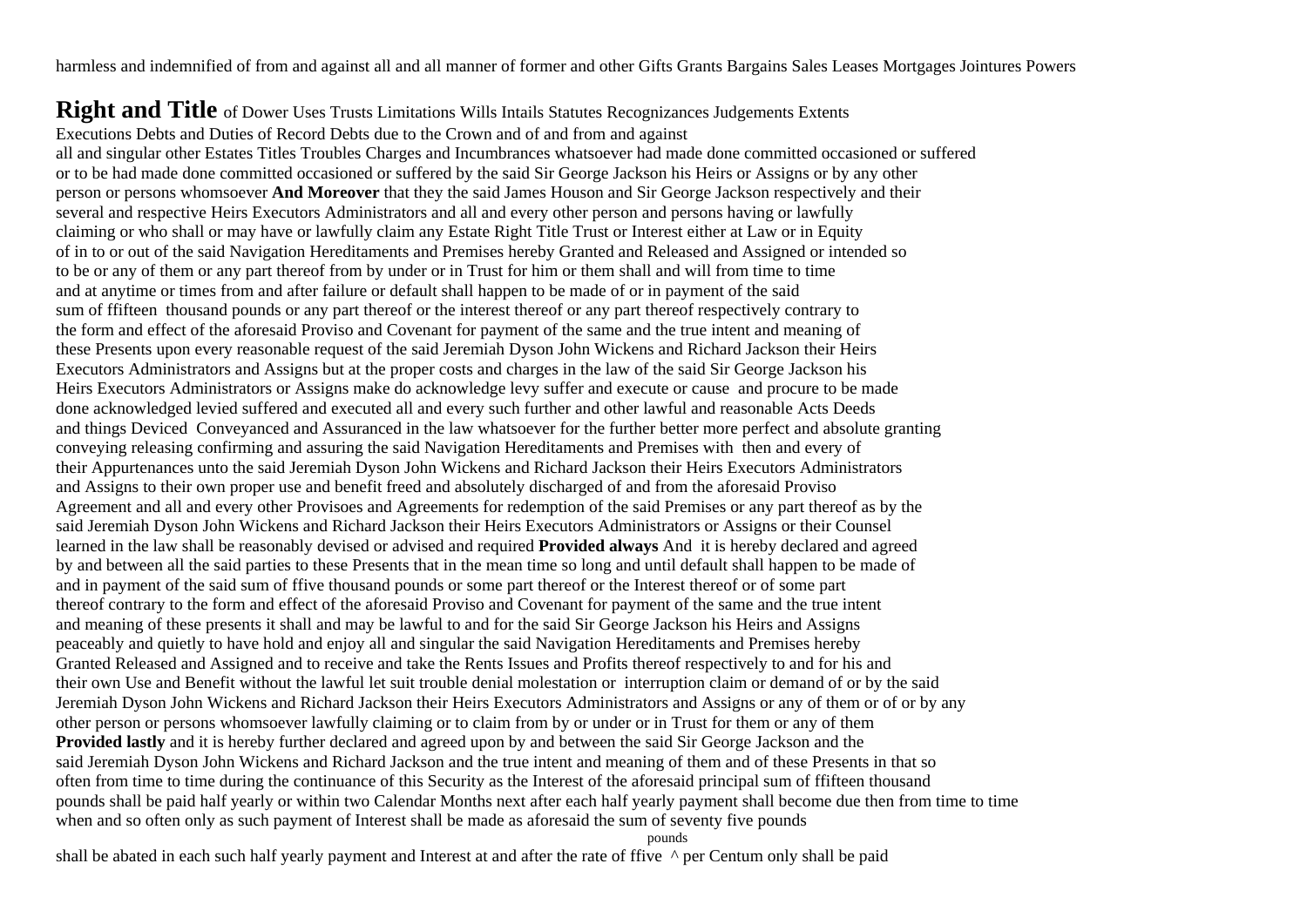harmless and indemnified of from and against all and all manner of former and other Gifts Grants Bargains Sales Leases Mortgages Jointures Powers

**Right and Title** of Dower Uses Trusts Limitations Wills Intails Statutes Recognizances Judgements Extents Executions Debts and Duties of Record Debts due to the Crown and of and from and against all and singular other Estates Titles Troubles Charges and Incumbrances whatsoever had made done committed occasioned or suffered or to be had made done committed occasioned or suffered by the said Sir George Jackson his Heirs or Assigns or by any other person or persons whomsoever **And Moreover** that they the said James Houson and Sir George Jackson respectively and their several and respective Heirs Executors Administrators and all and every other person and persons having or lawfully claiming or who shall or may have or lawfully claim any Estate Right Title Trust or Interest either at Law or in Equity of in to or out of the said Navigation Hereditaments and Premises hereby Granted and Released and Assigned or intended so to be or any of them or any part thereof from by under or in Trust for him or them shall and will from time to time and at anytime or times from and after failure or default shall happen to be made of or in payment of the said sum of ffifteen thousand pounds or any part thereof or the interest thereof or any part thereof respectively contrary to the form and effect of the aforesaid Proviso and Covenant for payment of the same and the true intent and meaning of these Presents upon every reasonable request of the said Jeremiah Dyson John Wickens and Richard Jackson their Heirs Executors Administrators and Assigns but at the proper costs and charges in the law of the said Sir George Jackson his Heirs Executors Administrators or Assigns make do acknowledge levy suffer and execute or cause and procure to be made done acknowledged levied suffered and executed all and every such further and other lawful and reasonable Acts Deeds and things Deviced Conveyanced and Assuranced in the law whatsoever for the further better more perfect and absolute granting conveying releasing confirming and assuring the said Navigation Hereditaments and Premises with then and every of their Appurtenances unto the said Jeremiah Dyson John Wickens and Richard Jackson their Heirs Executors Administrators and Assigns to their own proper use and benefit freed and absolutely discharged of and from the aforesaid Proviso Agreement and all and every other Provisoes and Agreements for redemption of the said Premises or any part thereof as by the said Jeremiah Dyson John Wickens and Richard Jackson their Heirs Executors Administrators or Assigns or their Counsel learned in the law shall be reasonably devised or advised and required **Provided always** And it is hereby declared and agreed by and between all the said parties to these Presents that in the mean time so long and until default shall happen to be made of and in payment of the said sum of ffive thousand pounds or some part thereof or the Interest thereof or of some part thereof contrary to the form and effect of the aforesaid Proviso and Covenant for payment of the same and the true intent and meaning of these presents it shall and may be lawful to and for the said Sir George Jackson his Heirs and Assigns peaceably and quietly to have hold and enjoy all and singular the said Navigation Hereditaments and Premises hereby Granted Released and Assigned and to receive and take the Rents Issues and Profits thereof respectively to and for his and their own Use and Benefit without the lawful let suit trouble denial molestation or interruption claim or demand of or by the said Jeremiah Dyson John Wickens and Richard Jackson their Heirs Executors Administrators and Assigns or any of them or of or by any other person or persons whomsoever lawfully claiming or to claim from by or under or in Trust for them or any of them **Provided lastly** and it is hereby further declared and agreed upon by and between the said Sir George Jackson and the said Jeremiah Dyson John Wickens and Richard Jackson and the true intent and meaning of them and of these Presents in that so often from time to time during the continuance of this Security as the Interest of the aforesaid principal sum of ffifteen thousand pounds shall be paid half yearly or within two Calendar Months next after each half yearly payment shall become due then from time to time when and so often only as such payment of Interest shall be made as aforesaid the sum of seventy five pounds

pounds

shall be abated in each such half yearly payment and Interest at and after the rate of ffive  $\land$  per Centum only shall be paid